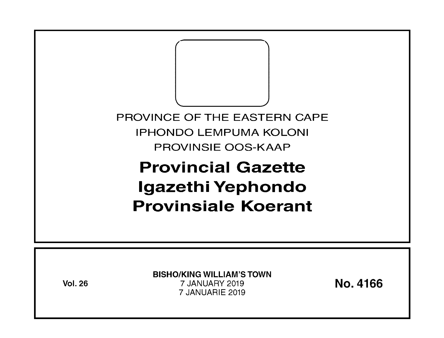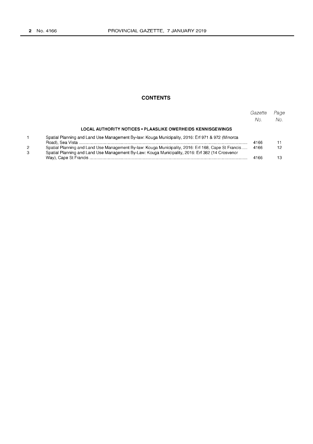2 3

 $\mathbf 1$ 

### **CONTENTS**

|                                                                                                                                                                                                         | Gazette<br>No. | Page<br>No. |
|---------------------------------------------------------------------------------------------------------------------------------------------------------------------------------------------------------|----------------|-------------|
| <b>LOCAL AUTHORITY NOTICES • PLAASLIKE OWERHEIDS KENNISGEWINGS</b>                                                                                                                                      |                |             |
| Spatial Planning and Land Use Management By-law: Kouga Municipality, 2016: Erf 971 & 972 (Minorca                                                                                                       | 4166           |             |
| Spatial Planning and Land Use Management By-law: Kouga Municipality, 2016: Erf 168, Cape St Francis<br>Spatial Planning and Land Use Management By-Law: Kouga Municipality, 2016: Erf 382 (14 Crosvenor | 4166           | 12          |
|                                                                                                                                                                                                         | 4166           | 13          |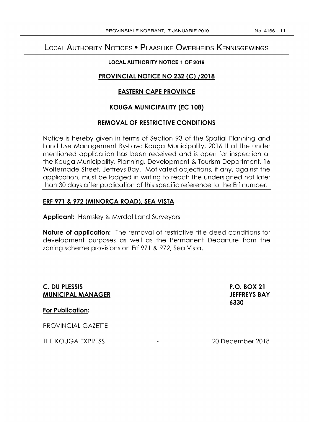# LOCAL AUTHORITY NOTICES • PLAASLIKE OWERHEIDS KENNISGEWINGS

### **LOCAL AUTHORITY NOTICE 1 OF 2019**

# **PROVINCIAL NOTICE NO 232 (C) /2018**

# **EASTERN CAPE PROVINCE**

# **KOUGA MUNICIPALITY (EC 108)**

## **REMOVAL OF RESTRICTIVE CONDITIONS**

Notice is hereby given in terms of Section 93 of the Spatial Planning and Land Use Management By-Law: Kouga Municipality, 2016 that the under mentioned application has been received and is open for inspection at the Kouga Municipality, Planning, Development & Tourism Department, 16 Woltemade Street, Jeffreys Bay. Motivated objections, if any, against the application, must be lodged in writing to reach the undersigned not later than 30 days after publication of this specific reference to the Erf number.

# **ERF 971 & 972 (MINORCA ROAD), SEA VISTA**

**Applicant:** Hemsley & Myrdal Land Surveyors

**Nature of application:** The removal of restrictive title deed conditions for development purposes as well as the Permanent Departure from the zoning scheme provisions on Erf 971 & 972, Sea Vista.

**C. DU PLESSIS MUNICIPAL MANAGER**  **P.O. BOX 21 JEFFREYS BAY 6330** 

**For Publication:** 

PROVINCIAL GAZETTE

THE KOUGA EXPRESS

20 December 2018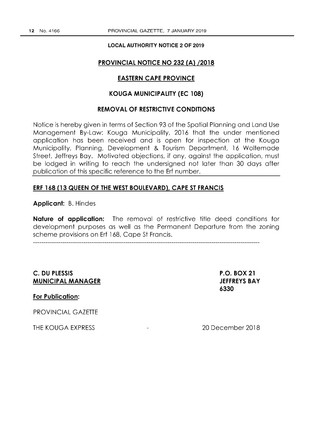#### **LOCAL AUTHORITY NOTICE 2 OF 2019**

#### **PROVINCIAL NOTICE NO 232 (A) /2018**

# **EASTERN CAPE PROVINCE**

# **KOUGA MUNICIPALITY (EC 108)**

## **REMOVAL OF RESTRICTIVE CONDITIONS**

Notice is hereby given in terms of Section 93 of the Spatial Planning and Land Use Management By-Law: Kouga Municipality, 2016 that the under mentioned application has been received and is open for inspection at the Kouga Municipality, Planning, Development & Tourism Department, 16 Woltemade Street, Jeffreys Bay. Motivated objections, if any, against the application, must be lodged in writing to reach the undersigned not later than 30 days after publication of this specific reference to the Erf number.

#### **ERF 168 (13 QUEEN OF THE WEST BOULEVARD), CAPE ST FRANCIS**

**Applicant:** B. Hindes

**Nature of application:** The removal of restrictive title deed conditions for development purposes as well as the Permanent Departure from the zoning scheme provisions on Erf 168, Cape St Francis.

# **C. DU PLESSIS MUNICIPAL MANAGER**

**P.O. BOX 21 JEFFREYS BAY 6330** 

**For Publication:** 

PROVINCIAL GAZETTE

**THE** KOUGA EXPRESS

20 December 2018